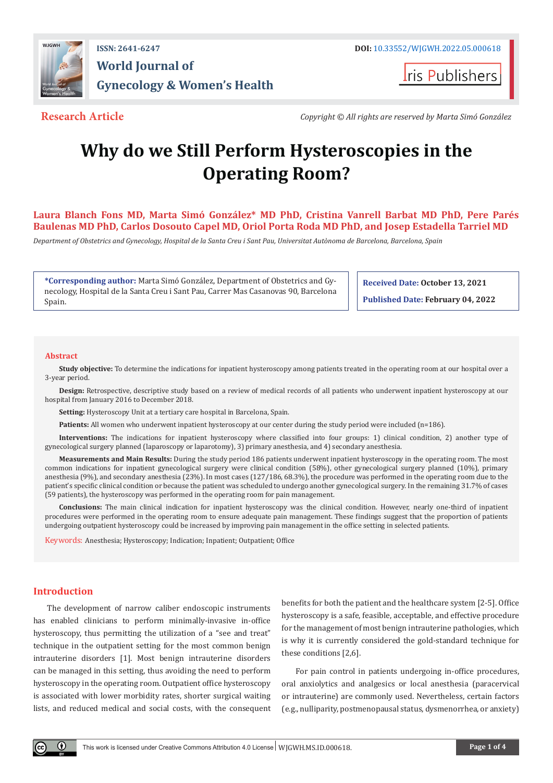

# **World Journal of Gynecology & Women's Health**

**I**ris Publishers

**Research Article** *Copyright © All rights are reserved by Marta Simó González*

## **Why do we Still Perform Hysteroscopies in the Operating Room?**

**Laura Blanch Fons MD, Marta Simó González\* MD PhD, Cristina Vanrell Barbat MD PhD, Pere Parés Baulenas MD PhD, Carlos Dosouto Capel MD, Oriol Porta Roda MD PhD, and Josep Estadella Tarriel MD**

*Department of Obstetrics and Gynecology, Hospital de la Santa Creu i Sant Pau, Universitat Autònoma de Barcelona, Barcelona, Spain*

**\*Corresponding author:** Marta Simó González, Department of Obstetrics and Gynecology, Hospital de la Santa Creu i Sant Pau, Carrer Mas Casanovas 90, Barcelona Spain.

**Received Date: October 13, 2021**

**Published Date: February 04, 2022**

#### **Abstract**

**Study objective:** To determine the indications for inpatient hysteroscopy among patients treated in the operating room at our hospital over a 3-year period.

**Design:** Retrospective, descriptive study based on a review of medical records of all patients who underwent inpatient hysteroscopy at our hospital from January 2016 to December 2018.

**Setting:** Hysteroscopy Unit at a tertiary care hospital in Barcelona, Spain.

**Patients:** All women who underwent inpatient hysteroscopy at our center during the study period were included (n=186).

**Interventions:** The indications for inpatient hysteroscopy where classified into four groups: 1) clinical condition, 2) another type of gynecological surgery planned (laparoscopy or laparotomy), 3) primary anesthesia, and 4) secondary anesthesia.

**Measurements and Main Results:** During the study period 186 patients underwent inpatient hysteroscopy in the operating room. The most common indications for inpatient gynecological surgery were clinical condition (58%), other gynecological surgery planned (10%), primary anesthesia (9%), and secondary anesthesia (23%). In most cases (127/186, 68.3%), the procedure was performed in the operating room due to the patient's specific clinical condition or because the patient was scheduled to undergo another gynecological surgery. In the remaining 31.7% of cases (59 patients), the hysteroscopy was performed in the operating room for pain management.

**Conclusions:** The main clinical indication for inpatient hysteroscopy was the clinical condition. However, nearly one-third of inpatient procedures were performed in the operating room to ensure adequate pain management. These findings suggest that the proportion of patients undergoing outpatient hysteroscopy could be increased by improving pain management in the office setting in selected patients.

Keywords: Anesthesia; Hysteroscopy; Indication; Inpatient; Outpatient; Office

#### **Introduction**

The development of narrow caliber endoscopic instruments has enabled clinicians to perform minimally-invasive in-office hysteroscopy, thus permitting the utilization of a "see and treat" technique in the outpatient setting for the most common benign intrauterine disorders [1]. Most benign intrauterine disorders can be managed in this setting, thus avoiding the need to perform hysteroscopy in the operating room. Outpatient office hysteroscopy is associated with lower morbidity rates, shorter surgical waiting lists, and reduced medical and social costs, with the consequent benefits for both the patient and the healthcare system [2-5]. Office hysteroscopy is a safe, feasible, acceptable, and effective procedure for the management of most benign intrauterine pathologies, which is why it is currently considered the gold-standard technique for these conditions [2,6].

For pain control in patients undergoing in-office procedures, oral anxiolytics and analgesics or local anesthesia (paracervical or intrauterine) are commonly used. Nevertheless, certain factors (e.g., nulliparity, postmenopausal status, dysmenorrhea, or anxiety)

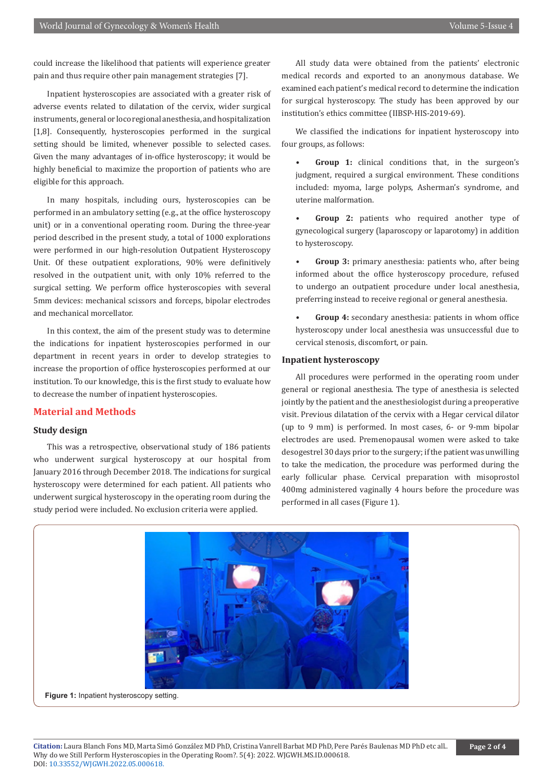could increase the likelihood that patients will experience greater pain and thus require other pain management strategies [7].

Inpatient hysteroscopies are associated with a greater risk of adverse events related to dilatation of the cervix, wider surgical instruments, general or loco regional anesthesia, and hospitalization [1,8]. Consequently, hysteroscopies performed in the surgical setting should be limited, whenever possible to selected cases. Given the many advantages of in-office hysteroscopy; it would be highly beneficial to maximize the proportion of patients who are eligible for this approach.

In many hospitals, including ours, hysteroscopies can be performed in an ambulatory setting (e.g., at the office hysteroscopy unit) or in a conventional operating room. During the three-year period described in the present study, a total of 1000 explorations were performed in our high-resolution Outpatient Hysteroscopy Unit. Of these outpatient explorations, 90% were definitively resolved in the outpatient unit, with only 10% referred to the surgical setting. We perform office hysteroscopies with several 5mm devices: mechanical scissors and forceps, bipolar electrodes and mechanical morcellator.

In this context, the aim of the present study was to determine the indications for inpatient hysteroscopies performed in our department in recent years in order to develop strategies to increase the proportion of office hysteroscopies performed at our institution. To our knowledge, this is the first study to evaluate how to decrease the number of inpatient hysteroscopies.

### **Material and Methods**

#### **Study design**

This was a retrospective, observational study of 186 patients who underwent surgical hysteroscopy at our hospital from January 2016 through December 2018. The indications for surgical hysteroscopy were determined for each patient. All patients who underwent surgical hysteroscopy in the operating room during the study period were included. No exclusion criteria were applied.

All study data were obtained from the patients' electronic medical records and exported to an anonymous database. We examined each patient's medical record to determine the indication for surgical hysteroscopy. The study has been approved by our institution's ethics committee (IIBSP-HIS-2019-69).

We classified the indications for inpatient hysteroscopy into four groups, as follows:

- **Group 1:** clinical conditions that, in the surgeon's judgment, required a surgical environment. These conditions included: myoma, large polyps, Asherman's syndrome, and uterine malformation.
- **Group 2:** patients who required another type of gynecological surgery (laparoscopy or laparotomy) in addition to hysteroscopy.

**Group 3:** primary anesthesia: patients who, after being informed about the office hysteroscopy procedure, refused to undergo an outpatient procedure under local anesthesia, preferring instead to receive regional or general anesthesia.

**• Group 4:** secondary anesthesia: patients in whom office hysteroscopy under local anesthesia was unsuccessful due to cervical stenosis, discomfort, or pain.

#### **Inpatient hysteroscopy**

All procedures were performed in the operating room under general or regional anesthesia. The type of anesthesia is selected jointly by the patient and the anesthesiologist during a preoperative visit. Previous dilatation of the cervix with a Hegar cervical dilator (up to 9 mm) is performed. In most cases, 6- or 9-mm bipolar electrodes are used. Premenopausal women were asked to take desogestrel 30 days prior to the surgery; if the patient was unwilling to take the medication, the procedure was performed during the early follicular phase. Cervical preparation with misoprostol 400mg administered vaginally 4 hours before the procedure was performed in all cases (Figure 1).

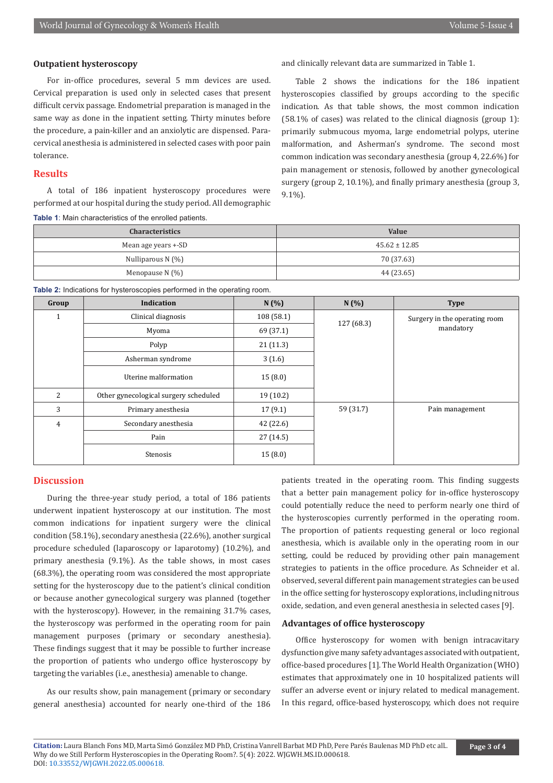#### **Outpatient hysteroscopy**

For in-office procedures, several 5 mm devices are used. Cervical preparation is used only in selected cases that present difficult cervix passage. Endometrial preparation is managed in the same way as done in the inpatient setting. Thirty minutes before the procedure, a pain-killer and an anxiolytic are dispensed. Paracervical anesthesia is administered in selected cases with poor pain tolerance.

#### **Results**

A total of 186 inpatient hysteroscopy procedures were performed at our hospital during the study period. All demographic and clinically relevant data are summarized in Table 1.

Table 2 shows the indications for the 186 inpatient hysteroscopies classified by groups according to the specific indication. As that table shows, the most common indication (58.1% of cases) was related to the clinical diagnosis (group 1): primarily submucous myoma, large endometrial polyps, uterine malformation, and Asherman's syndrome. The second most common indication was secondary anesthesia (group 4, 22.6%) for pain management or stenosis, followed by another gynecological surgery (group 2, 10.1%), and finally primary anesthesia (group 3, 9.1%).

|  | Table 1: Main characteristics of the enrolled patients. |  |  |  |
|--|---------------------------------------------------------|--|--|--|
|--|---------------------------------------------------------|--|--|--|

| <b>Characteristics</b> | <b>Value</b>      |  |  |
|------------------------|-------------------|--|--|
| Mean age years +-SD    | $45.62 \pm 12.85$ |  |  |
| Nulliparous N $(%)$    | 70 (37.63)        |  |  |
| Menopause N $(\% )$    | 44 (23.65)        |  |  |

**Table 2:** Indications for hysteroscopies performed in the operating room.

| Group          | Indication                                     | N(%)      | N(%)                          | <b>Type</b>     |
|----------------|------------------------------------------------|-----------|-------------------------------|-----------------|
|                | Clinical diagnosis<br>108 (58.1)<br>127 (68.3) |           | Surgery in the operating room |                 |
|                | Myoma                                          | 69 (37.1) |                               | mandatory       |
|                | Polyp                                          | 21(11.3)  |                               |                 |
|                | Asherman syndrome                              | 3(1.6)    |                               |                 |
|                | Uterine malformation                           | 15(8.0)   |                               |                 |
| $\overline{2}$ | Other gynecological surgery scheduled          | 19(10.2)  |                               |                 |
| 3              | Primary anesthesia                             | 17(9.1)   | 59 (31.7)                     | Pain management |
| 4              | Secondary anesthesia                           | 42 (22.6) |                               |                 |
|                | Pain                                           | 27(14.5)  |                               |                 |
|                | Stenosis                                       | 15(8.0)   |                               |                 |

#### **Discussion**

During the three-year study period, a total of 186 patients underwent inpatient hysteroscopy at our institution. The most common indications for inpatient surgery were the clinical condition (58.1%), secondary anesthesia (22.6%), another surgical procedure scheduled (laparoscopy or laparotomy) (10.2%), and primary anesthesia (9.1%). As the table shows, in most cases (68.3%), the operating room was considered the most appropriate setting for the hysteroscopy due to the patient's clinical condition or because another gynecological surgery was planned (together with the hysteroscopy). However, in the remaining 31.7% cases, the hysteroscopy was performed in the operating room for pain management purposes (primary or secondary anesthesia). These findings suggest that it may be possible to further increase the proportion of patients who undergo office hysteroscopy by targeting the variables (i.e., anesthesia) amenable to change.

As our results show, pain management (primary or secondary general anesthesia) accounted for nearly one-third of the 186 patients treated in the operating room. This finding suggests that a better pain management policy for in-office hysteroscopy could potentially reduce the need to perform nearly one third of the hysteroscopies currently performed in the operating room. The proportion of patients requesting general or loco regional anesthesia, which is available only in the operating room in our setting, could be reduced by providing other pain management strategies to patients in the office procedure. As Schneider et al. observed, several different pain management strategies can be used in the office setting for hysteroscopy explorations, including nitrous oxide, sedation, and even general anesthesia in selected cases [9].

#### **Advantages of office hysteroscopy**

Office hysteroscopy for women with benign intracavitary dysfunction give many safety advantages associated with outpatient, office-based procedures [1]. The World Health Organization (WHO) estimates that approximately one in 10 hospitalized patients will suffer an adverse event or injury related to medical management. In this regard, office-based hysteroscopy, which does not require